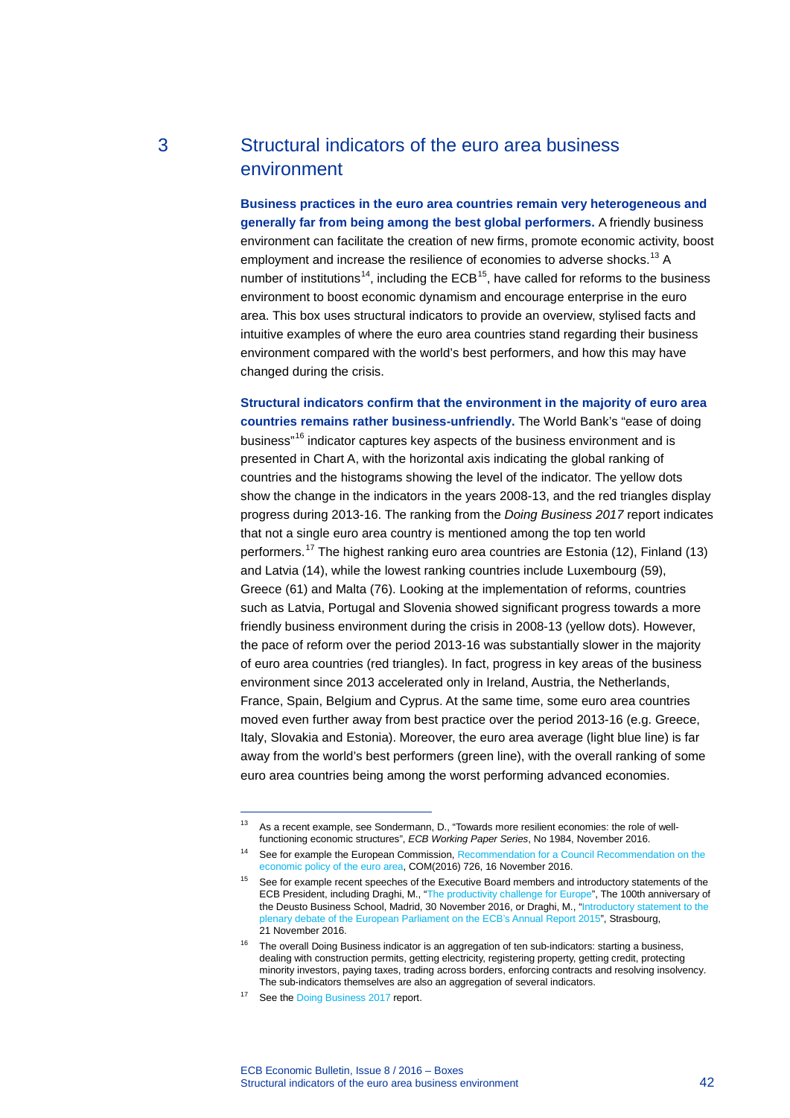# 3 Structural indicators of the euro area business environment

**Business practices in the euro area countries remain very heterogeneous and generally far from being among the best global performers.** A friendly business environment can facilitate the creation of new firms, promote economic activity, boost employment and increase the resilience of economies to adverse shocks.<sup>[13](#page-0-0)</sup> A number of institutions<sup>[14](#page-0-1)</sup>, including the ECB<sup>[15](#page-0-2)</sup>, have called for reforms to the business environment to boost economic dynamism and encourage enterprise in the euro area. This box uses structural indicators to provide an overview, stylised facts and intuitive examples of where the euro area countries stand regarding their business environment compared with the world's best performers, and how this may have changed during the crisis.

**Structural indicators confirm that the environment in the majority of euro area countries remains rather business-unfriendly.** The World Bank's "ease of doing business"[16](#page-0-3) indicator captures key aspects of the business environment and is presented in Chart A, with the horizontal axis indicating the global ranking of countries and the histograms showing the level of the indicator. The yellow dots show the change in the indicators in the years 2008-13, and the red triangles display progress during 2013-16. The ranking from the *Doing Business 2017* report indicates that not a single euro area country is mentioned among the top ten world performers.[17](#page-0-4) The highest ranking euro area countries are Estonia (12), Finland (13) and Latvia (14), while the lowest ranking countries include Luxembourg (59), Greece (61) and Malta (76). Looking at the implementation of reforms, countries such as Latvia, Portugal and Slovenia showed significant progress towards a more friendly business environment during the crisis in 2008-13 (yellow dots). However, the pace of reform over the period 2013-16 was substantially slower in the majority of euro area countries (red triangles). In fact, progress in key areas of the business environment since 2013 accelerated only in Ireland, Austria, the Netherlands, France, Spain, Belgium and Cyprus. At the same time, some euro area countries moved even further away from best practice over the period 2013-16 (e.g. Greece, Italy, Slovakia and Estonia). Moreover, the euro area average (light blue line) is far away from the world's best performers (green line), with the overall ranking of some euro area countries being among the worst performing advanced economies.

-

ECB Economic Bulletin, Issue 8 / 2016 – Boxes Structural indicators of the euro area business environment 42

<span id="page-0-0"></span><sup>&</sup>lt;sup>13</sup> As a recent example, see Sondermann, D., "Towards more resilient economies: the role of wellfunctioning economic structures", *ECB Working Paper Series*, No 1984, November 2016.

<span id="page-0-1"></span><sup>&</sup>lt;sup>14</sup> See for example the European Commission, Recommendation for a Council Recommendation on the [economic policy of the euro area,](https://ec.europa.eu/info/sites/info/files/2017-european-semester-recommendation-euro-area_en_0.pdf) COM(2016) 726, 16 November 2016.

<span id="page-0-2"></span><sup>&</sup>lt;sup>15</sup> See for example recent speeches of the Executive Board members and introductory statements of the ECB President, including Draghi, M., ["The productivity challenge for Europe"](http://www.ecb.europa.eu/press/key/date/2016/html/sp161130_1.en.html), The 100th anniversary of the Deusto Business School, Madrid, 30 November 2016, or Draghi, M., ["Introductory statement to the](https://www.ecb.europa.eu/press/key/date/2016/html/sp161121_1.en.html)  [plenary debate of the European Parliament on the ECB's Annual Report 2015"](https://www.ecb.europa.eu/press/key/date/2016/html/sp161121_1.en.html), Strasbourg, 21 November 2016.

<span id="page-0-3"></span> $16$  The overall Doing Business indicator is an aggregation of ten sub-indicators: starting a business, dealing with construction permits, getting electricity, registering property, getting credit, protecting minority investors, paying taxes, trading across borders, enforcing contracts and resolving insolvency. The sub-indicators themselves are also an aggregation of several indicators.

<span id="page-0-4"></span><sup>&</sup>lt;sup>17</sup> See th[e Doing Business 2017](http://www.doingbusiness.org/~/media/WBG/DoingBusiness/Documents/Annual-Reports/English/DB17-Report.pdf) report.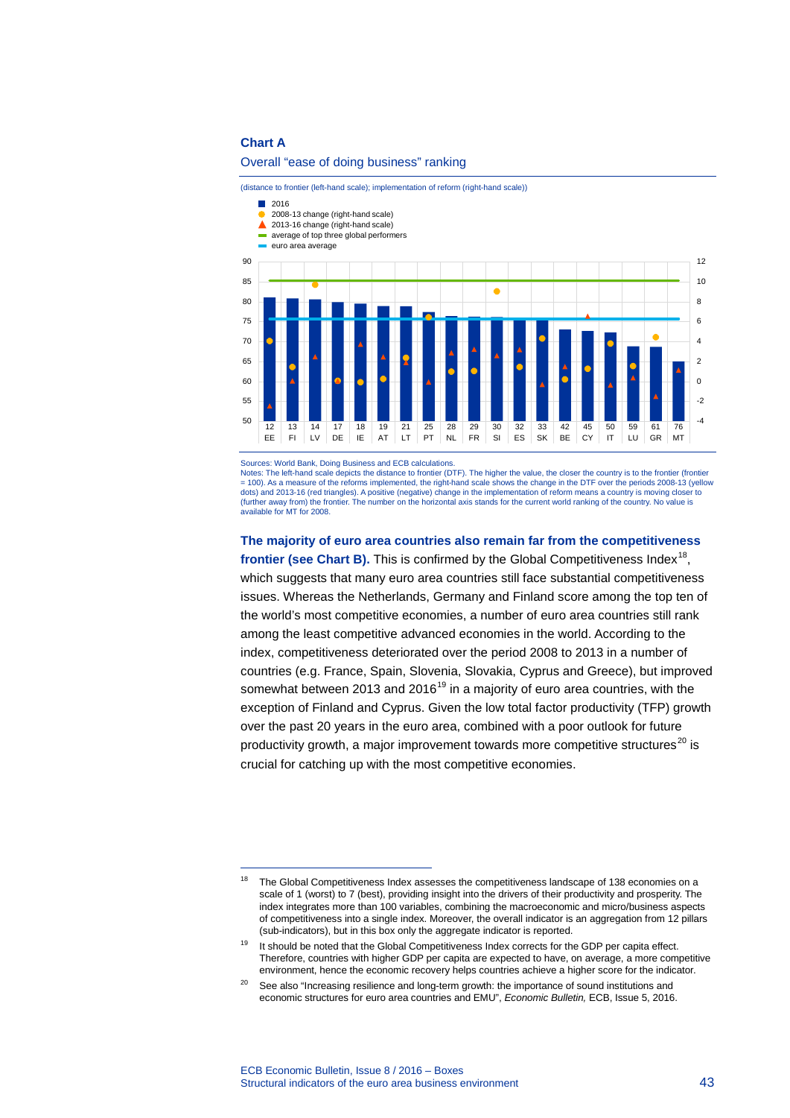## **Chart A**

-

#### Overall "ease of doing business" ranking

(distance to frontier (left-hand scale); implementation of reform (right-hand scale))



Sources: World Bank, Doing Business and ECB calculations.<br>Notes: The left-hand scale depicts the distance to frontier (DTF). The higher the value, the closer the country is to the frontier (frontier = 100). As a measure of the reforms implemented, the right-hand scale shows the change in the DTF over the periods 2008-13 (yellow dots) and 2013-16 (red triangles). A positive (negative) change in the implementation of reform means a country is moving closer to (further away from) the frontier. The number on the horizontal axis stands for the current world ranking of the country. No value is available for MT for 2008.

**The majority of euro area countries also remain far from the competitiveness**  frontier (see Chart B). This is confirmed by the Global Competitiveness Index<sup>[18](#page-1-0)</sup>. which suggests that many euro area countries still face substantial competitiveness issues. Whereas the Netherlands, Germany and Finland score among the top ten of the world's most competitive economies, a number of euro area countries still rank among the least competitive advanced economies in the world. According to the index, competitiveness deteriorated over the period 2008 to 2013 in a number of countries (e.g. France, Spain, Slovenia, Slovakia, Cyprus and Greece), but improved somewhat between 2013 and 2016<sup>[19](#page-1-1)</sup> in a majority of euro area countries, with the exception of Finland and Cyprus. Given the low total factor productivity (TFP) growth over the past 20 years in the euro area, combined with a poor outlook for future productivity growth, a major improvement towards more competitive structures<sup>[20](#page-1-2)</sup> is crucial for catching up with the most competitive economies.

<span id="page-1-0"></span><sup>&</sup>lt;sup>18</sup> The Global Competitiveness Index assesses the competitiveness landscape of 138 economies on a scale of 1 (worst) to 7 (best), providing insight into the drivers of their productivity and prosperity. The index integrates more than 100 variables, combining the macroeconomic and micro/business aspects of competitiveness into a single index. Moreover, the overall indicator is an aggregation from 12 pillars (sub-indicators), but in this box only the aggregate indicator is reported.

<span id="page-1-1"></span><sup>&</sup>lt;sup>19</sup> It should be noted that the Global Competitiveness Index corrects for the GDP per capita effect. Therefore, countries with higher GDP per capita are expected to have, on average, a more competitive environment, hence the economic recovery helps countries achieve a higher score for the indicator.

<span id="page-1-2"></span><sup>&</sup>lt;sup>20</sup> See also "Increasing resilience and long-term growth: the importance of sound institutions and economic structures for euro area countries and EMU", *Economic Bulletin,* ECB, Issue 5, 2016.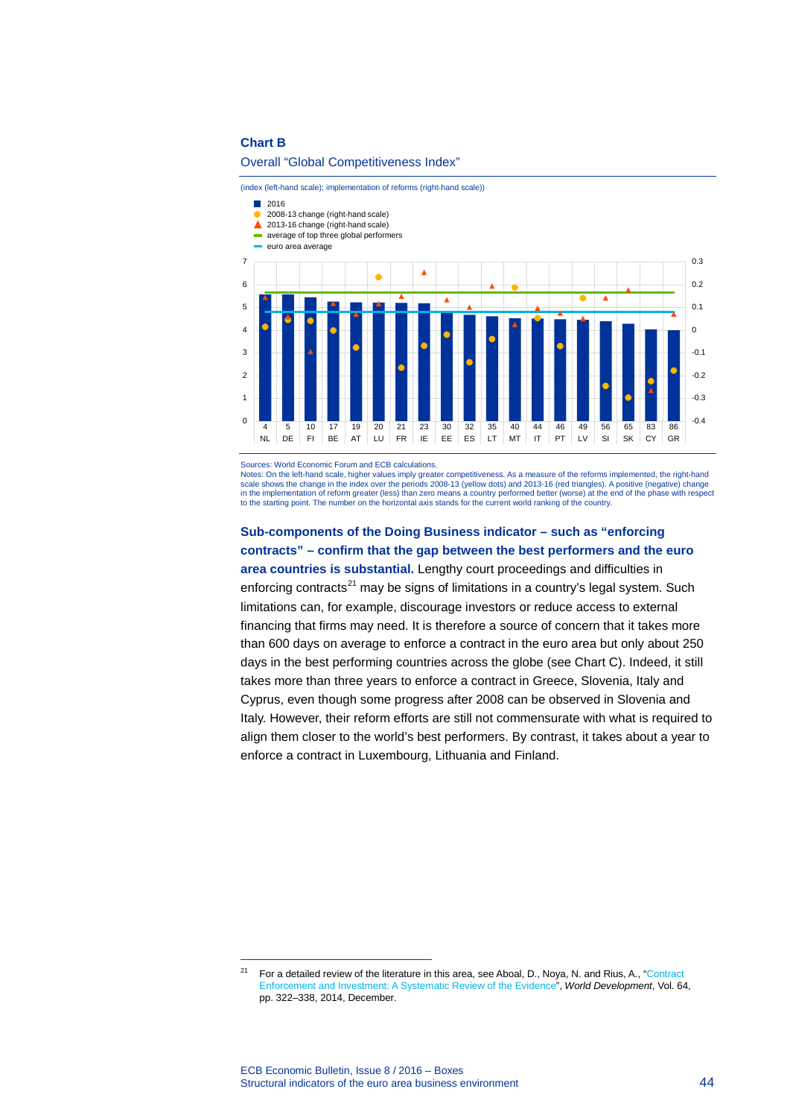## **Chart B**

#### Overall "Global Competitiveness Index"

(index (left-hand scale); implementation of reforms (right-hand scale))

#### $12016$

- 2008-13 change (right-hand scale)
- ▲ 2013-16 change (right-hand scale)
- average of top three global performers
- euro area average



Sources: World Economic Forum and ECB calculations.

Notes: On the left-hand scale, higher values imply greater competitiveness. As a measure of the reforms implemented, the right-hand scale shows the change in the index over the periods 2008-13 (yellow dots) and 2013-16 (red triangles). A positive (negative) change in the implementation of reform greater (less) than zero means a country performed better (worse) at the end of the phase with respect<br>to the starting point. The number on the horizontal axis stands for the current world r

**Sub-components of the Doing Business indicator – such as "enforcing contracts" – confirm that the gap between the best performers and the euro area countries is substantial.** Lengthy court proceedings and difficulties in enforcing contracts $^{21}$  $^{21}$  $^{21}$  may be signs of limitations in a country's legal system. Such limitations can, for example, discourage investors or reduce access to external financing that firms may need. It is therefore a source of concern that it takes more than 600 days on average to enforce a contract in the euro area but only about 250 days in the best performing countries across the globe (see Chart C). Indeed, it still takes more than three years to enforce a contract in Greece, Slovenia, Italy and Cyprus, even though some progress after 2008 can be observed in Slovenia and Italy. However, their reform efforts are still not commensurate with what is required to align them closer to the world's best performers. By contrast, it takes about a year to enforce a contract in Luxembourg, Lithuania and Finland.

-

<span id="page-2-0"></span><sup>&</sup>lt;sup>21</sup> For a detailed review of the literature in this area, see Aboal, D., Noya, N. and Rius, A., "Contract [Enforcement and Investment: A Systematic Review of the Evidence"](http://www.sciencedirect.com/science/article/pii/S0305750X14001612), *World Development*, Vol. 64, pp. 322–338, 2014, December.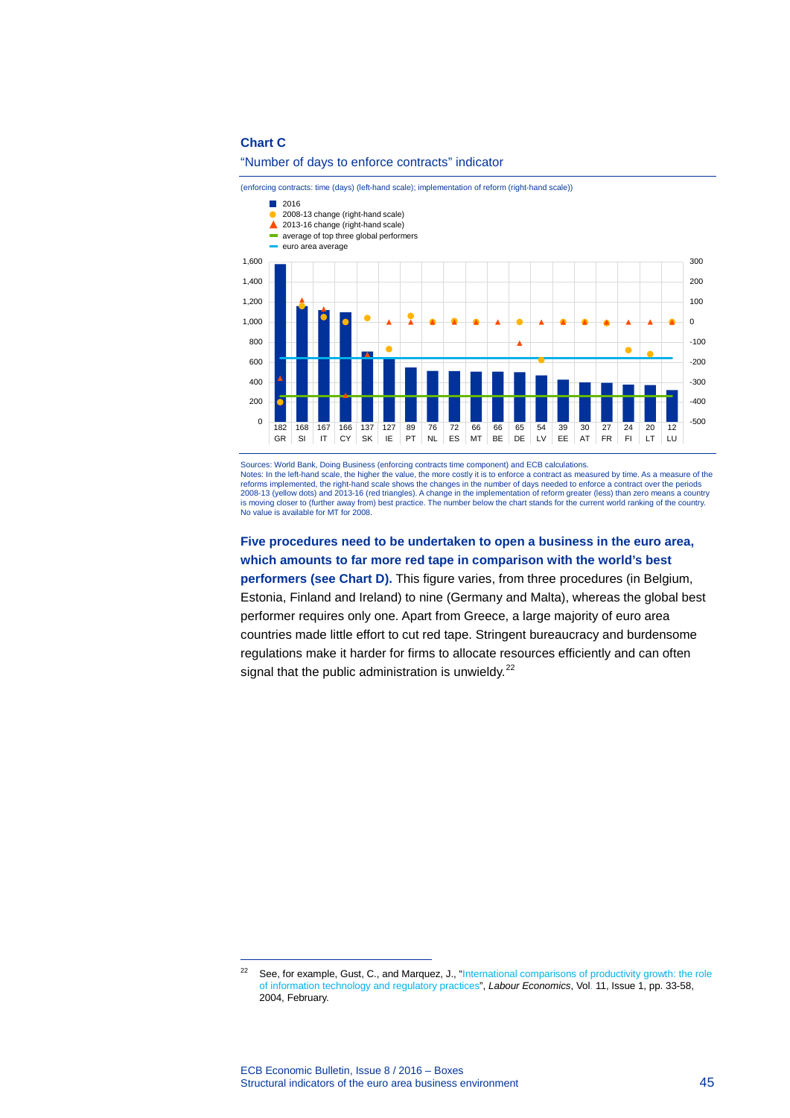# **Chart C**

# "Number of days to enforce contracts" indicator

(enforcing contracts: time (days) (left-hand scale); implementation of reform (right-hand scale))



Sources: World Bank, Doing Business (enforcing contracts time component) and ECB calculations.

Notes: In the left-hand scale, the higher the value, the more costly it is to enforce a contract as measured by time. As a measure of the reforms implemented, the right-hand scale shows the changes in the number of days needed to enforce a contract over the periods 2008-13 (yellow dots) and 2013-16 (red triangles). A change in the implementation of reform greater (less) than zero means a country<br>is moving closer to (further away from) best practice. The number below the chart stands No value is available for MT for 2008.

# **Five procedures need to be undertaken to open a business in the euro area, which amounts to far more red tape in comparison with the world's best performers (see Chart D).** This figure varies, from three procedures (in Belgium, Estonia, Finland and Ireland) to nine (Germany and Malta), whereas the global best

performer requires only one. Apart from Greece, a large majority of euro area countries made little effort to cut red tape. Stringent bureaucracy and burdensome regulations make it harder for firms to allocate resources efficiently and can often signal that the public administration is unwieldy.<sup>[22](#page-3-0)</sup>

-

<span id="page-3-0"></span><sup>&</sup>lt;sup>22</sup> See, for example, [Gust,](http://www.sciencedirect.com/science/article/pii/S0927537103000551) C., and [Marquez,](http://www.sciencedirect.com/science/article/pii/S0927537103000551) J., "International comparisons of productivity growth: the role [of information technology and regulatory practices"](http://www.sciencedirect.com/science/article/pii/S0927537103000551), *Labour Economics*, Vol. [11, Issue 1,](http://www.sciencedirect.com/science/journal/09275371/11/1) pp. 33-58, 2004, February.